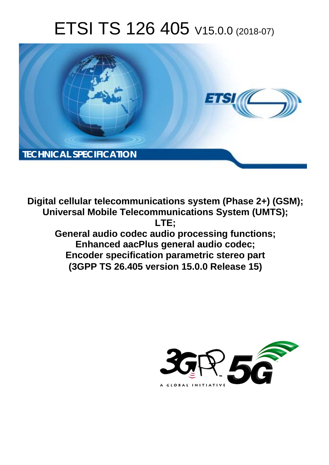# ETSI TS 126 405 V15.0.0 (2018-07)



**Digital cellular telecommunications system (Phase 2+) (GSM); Universal Mobile Telecommunications System (UMTS); LTE; General audio codec audio processing functions; Enhanced aacPlus general audio codec; Encoder specification parametric stereo part (3GPP TS 26.405 version 15.0.0 Release 15)** 

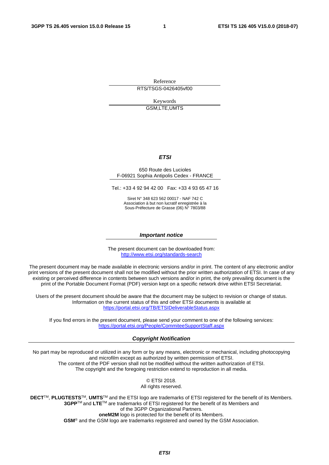Reference RTS/TSGS-0426405vf00

Keywords

GSM,LTE,UMTS

#### *ETSI*

#### 650 Route des Lucioles F-06921 Sophia Antipolis Cedex - FRANCE

Tel.: +33 4 92 94 42 00 Fax: +33 4 93 65 47 16

Siret N° 348 623 562 00017 - NAF 742 C Association à but non lucratif enregistrée à la Sous-Préfecture de Grasse (06) N° 7803/88

#### *Important notice*

The present document can be downloaded from: <http://www.etsi.org/standards-search>

The present document may be made available in electronic versions and/or in print. The content of any electronic and/or print versions of the present document shall not be modified without the prior written authorization of ETSI. In case of any existing or perceived difference in contents between such versions and/or in print, the only prevailing document is the print of the Portable Document Format (PDF) version kept on a specific network drive within ETSI Secretariat.

Users of the present document should be aware that the document may be subject to revision or change of status. Information on the current status of this and other ETSI documents is available at <https://portal.etsi.org/TB/ETSIDeliverableStatus.aspx>

If you find errors in the present document, please send your comment to one of the following services: <https://portal.etsi.org/People/CommiteeSupportStaff.aspx>

#### *Copyright Notification*

No part may be reproduced or utilized in any form or by any means, electronic or mechanical, including photocopying and microfilm except as authorized by written permission of ETSI. The content of the PDF version shall not be modified without the written authorization of ETSI. The copyright and the foregoing restriction extend to reproduction in all media.

> © ETSI 2018. All rights reserved.

**DECT**TM, **PLUGTESTS**TM, **UMTS**TM and the ETSI logo are trademarks of ETSI registered for the benefit of its Members. **3GPP**TM and **LTE**TM are trademarks of ETSI registered for the benefit of its Members and of the 3GPP Organizational Partners. **oneM2M** logo is protected for the benefit of its Members.

**GSM**® and the GSM logo are trademarks registered and owned by the GSM Association.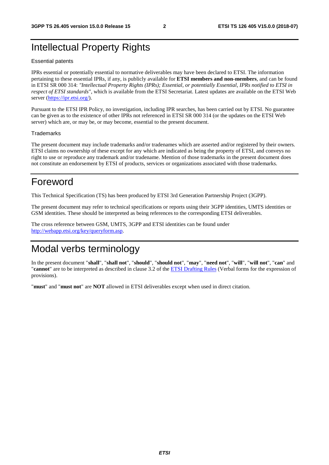# Intellectual Property Rights

#### Essential patents

IPRs essential or potentially essential to normative deliverables may have been declared to ETSI. The information pertaining to these essential IPRs, if any, is publicly available for **ETSI members and non-members**, and can be found in ETSI SR 000 314: *"Intellectual Property Rights (IPRs); Essential, or potentially Essential, IPRs notified to ETSI in respect of ETSI standards"*, which is available from the ETSI Secretariat. Latest updates are available on the ETSI Web server ([https://ipr.etsi.org/\)](https://ipr.etsi.org/).

Pursuant to the ETSI IPR Policy, no investigation, including IPR searches, has been carried out by ETSI. No guarantee can be given as to the existence of other IPRs not referenced in ETSI SR 000 314 (or the updates on the ETSI Web server) which are, or may be, or may become, essential to the present document.

#### **Trademarks**

The present document may include trademarks and/or tradenames which are asserted and/or registered by their owners. ETSI claims no ownership of these except for any which are indicated as being the property of ETSI, and conveys no right to use or reproduce any trademark and/or tradename. Mention of those trademarks in the present document does not constitute an endorsement by ETSI of products, services or organizations associated with those trademarks.

# Foreword

This Technical Specification (TS) has been produced by ETSI 3rd Generation Partnership Project (3GPP).

The present document may refer to technical specifications or reports using their 3GPP identities, UMTS identities or GSM identities. These should be interpreted as being references to the corresponding ETSI deliverables.

The cross reference between GSM, UMTS, 3GPP and ETSI identities can be found under [http://webapp.etsi.org/key/queryform.asp.](http://webapp.etsi.org/key/queryform.asp)

# Modal verbs terminology

In the present document "**shall**", "**shall not**", "**should**", "**should not**", "**may**", "**need not**", "**will**", "**will not**", "**can**" and "**cannot**" are to be interpreted as described in clause 3.2 of the [ETSI Drafting Rules](https://portal.etsi.org/Services/editHelp!/Howtostart/ETSIDraftingRules.aspx) (Verbal forms for the expression of provisions).

"**must**" and "**must not**" are **NOT** allowed in ETSI deliverables except when used in direct citation.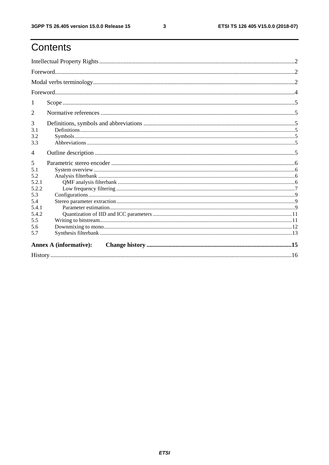# Contents

| 1                                                                                      |                               |  |  |  |  |  |  |  |
|----------------------------------------------------------------------------------------|-------------------------------|--|--|--|--|--|--|--|
| 2                                                                                      |                               |  |  |  |  |  |  |  |
| 3<br>3.1<br>3.2<br>3.3                                                                 |                               |  |  |  |  |  |  |  |
| 4                                                                                      |                               |  |  |  |  |  |  |  |
| 5<br>5.1<br>5.2<br>5.2.1<br>5.2.2<br>5.3<br>5.4<br>5.4.1<br>5.4.2<br>5.5<br>5.6<br>5.7 |                               |  |  |  |  |  |  |  |
|                                                                                        | <b>Annex A (informative):</b> |  |  |  |  |  |  |  |
|                                                                                        |                               |  |  |  |  |  |  |  |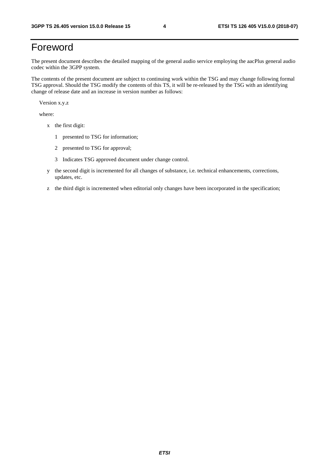# Foreword

The present document describes the detailed mapping of the general audio service employing the aacPlus general audio codec within the 3GPP system.

The contents of the present document are subject to continuing work within the TSG and may change following formal TSG approval. Should the TSG modify the contents of this TS, it will be re-released by the TSG with an identifying change of release date and an increase in version number as follows:

Version x.y.z

where:

- x the first digit:
	- 1 presented to TSG for information;
	- 2 presented to TSG for approval;
	- 3 Indicates TSG approved document under change control.
- y the second digit is incremented for all changes of substance, i.e. technical enhancements, corrections, updates, etc.
- z the third digit is incremented when editorial only changes have been incorporated in the specification;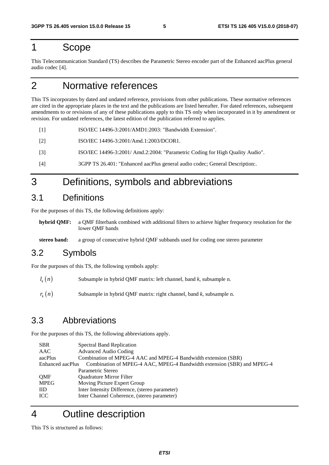### 1 Scope

This Telecommunication Standard (TS) describes the Parametric Stereo encoder part of the Enhanced aacPlus general audio codec [4].

# 2 Normative references

This TS incorporates by dated and undated reference, provisions from other publications. These normative references are cited in the appropriate places in the text and the publications are listed hereafter. For dated references, subsequent amendments to or revisions of any of these publications apply to this TS only when incorporated in it by amendment or revision. For undated references, the latest edition of the publication referred to applies.

- [1] ISO/IEC 14496-3:2001/AMD1:2003: "Bandwidth Extension".
- [2] ISO/IEC 14496-3:2001/Amd.1:2003/DCOR1.
- [3] ISO/IEC 14496-3:2001/ Amd.2:2004: "Parametric Coding for High Quality Audio".
- [4] 3GPP TS 26.401: "Enhanced aacPlus general audio codec; General Description:.

# 3 Definitions, symbols and abbreviations

### 3.1 Definitions

For the purposes of this TS, the following definitions apply:

- **hybrid QMF:** a QMF filterbank combined with additional filters to achieve higher frequency resolution for the lower QMF bands
- **stereo band:** a group of consecutive hybrid QMF subbands used for coding one stereo parameter

### 3.2 Symbols

For the purposes of this TS, the following symbols apply:

- Subsample in hybrid QMF matrix: left channel, band *k*, subsample n.  $l_k(n)$
- Subsample in hybrid QMF matrix: right channel, band *k*, subsample n.  $r_k(n)$

### 3.3 Abbreviations

For the purposes of this TS, the following abbreviations apply.

| <b>SBR</b>       | <b>Spectral Band Replication</b>                                       |  |  |  |  |  |  |
|------------------|------------------------------------------------------------------------|--|--|--|--|--|--|
| AAC              | <b>Advanced Audio Coding</b>                                           |  |  |  |  |  |  |
| aacPlus          | Combination of MPEG-4 AAC and MPEG-4 Bandwidth extension (SBR)         |  |  |  |  |  |  |
| Enhanced aacPlus | Combination of MPEG-4 AAC, MPEG-4 Bandwidth extension (SBR) and MPEG-4 |  |  |  |  |  |  |
|                  | Parametric Stereo                                                      |  |  |  |  |  |  |
| <b>OMF</b>       | <b>Ouadrature Mirror Filter</b>                                        |  |  |  |  |  |  |
| <b>MPEG</b>      | Moving Picture Expert Group                                            |  |  |  |  |  |  |
| <b>IID</b>       | Inter Intensity Difference, (stereo parameter)                         |  |  |  |  |  |  |
| ICC              | Inter Channel Coherence, (stereo parameter)                            |  |  |  |  |  |  |

# 4 Outline description

This TS is structured as follows: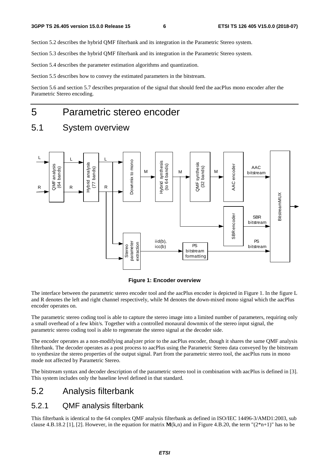Section 5.2 describes the hybrid QMF filterbank and its integration in the Parametric Stereo system.

Section 5.3 describes the hybrid QMF filterbank and its integration in the Parametric Stereo system.

Section 5.4 describes the parameter estimation algorithms and quantization.

Section 5.5 describes how to convey the estimated parameters in the bitstream.

Section 5.6 and section 5.7 describes preparation of the signal that should feed the aacPlus mono encoder after the Parametric Stereo encoding.

### 5 Parametric stereo encoder

### 5.1 System overview



**Figure 1: Encoder overview** 

The interface between the parametric stereo encoder tool and the aacPlus encoder is depicted in Figure 1. In the figure L and R denotes the left and right channel respectively, while M denotes the down-mixed mono signal which the aacPlus encoder operates on.

The parametric stereo coding tool is able to capture the stereo image into a limited number of parameters, requiring only a small overhead of a few kbit/s. Together with a controlled monaural downmix of the stereo input signal, the parametric stereo coding tool is able to regenerate the stereo signal at the decoder side.

The encoder operates as a non-modifying analyzer prior to the aacPlus encoder, though it shares the same QMF analysis filterbank. The decoder operates as a post process to aacPlus using the Parametric Stereo data conveyed by the bitstream to synthesize the stereo properties of the output signal. Part from the parametric stereo tool, the aacPlus runs in mono mode not affected by Parametric Stereo.

The bitstream syntax and decoder description of the parametric stereo tool in combination with aacPlus is defined in [3]. This system includes only the baseline level defined in that standard.

### 5.2 Analysis filterbank

#### 5.2.1 QMF analysis filterbank

This filterbank is identical to the 64 complex QMF analysis filterbank as defined in ISO/IEC 14496-3/AMD1:2003, sub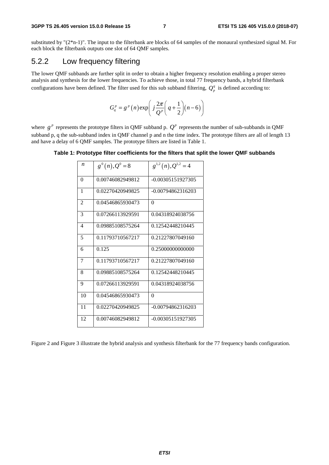substituted by "(2\*n-1)". The input to the filterbank are blocks of 64 samples of the monaural synthesized signal M. For each block the filterbank outputs one slot of 64 QMF samples.

### 5.2.2 Low frequency filtering

The lower QMF subbands are further split in order to obtain a higher frequency resolution enabling a proper stereo analysis and synthesis for the lower frequencies. To achieve those, in total 77 frequency bands, a hybrid filterbank configurations have been defined. The filter used for this sub subband filtering,  $Q_p^q$  is defined according to:

$$
G_q^p = g^p(n) \exp\left(j\frac{2\pi}{Q^p}\left(q + \frac{1}{2}\right)(n-6)\right)
$$

where  $g^p$  represents the prototype filters in QMF subband p.  $Q^p$  represents the number of sub-subbands in QMF subband p, q the sub-subband index in QMF channel p and n the time index. The prototype filters are all of length 13 and have a delay of 6 QMF samples. The prototype filters are listed in Table 1.

#### **Table 1: Prototype filter coefficients for the filters that split the lower QMF subbands**

| $\boldsymbol{n}$         | $g^{0}(n), Q^{0}=8$ | $g^{1,2}(n), Q^{1,2}=4$ |
|--------------------------|---------------------|-------------------------|
| $\theta$                 | 0.00746082949812    | $-0.00305151927305$     |
| 1                        | 0.02270420949825    | $-0.00794862316203$     |
| 2                        | 0.04546865930473    | $\Omega$                |
| 3                        | 0.07266113929591    | 0.04318924038756        |
| $\overline{\mathcal{A}}$ | 0.09885108575264    | 0.12542448210445        |
| 5                        | 0.11793710567217    | 0.21227807049160        |
| 6                        | 0.125               | 0.25000000000000        |
| 7                        | 0.11793710567217    | 0.21227807049160        |
| 8                        | 0.09885108575264    | 0.12542448210445        |
| 9                        | 0.07266113929591    | 0.04318924038756        |
| 10                       | 0.04546865930473    | 0                       |
| 11                       | 0.02270420949825    | $-0.00794862316203$     |
| 12                       | 0.00746082949812    | $-0.00305151927305$     |

Figure 2 and Figure 3 illustrate the hybrid analysis and synthesis filterbank for the 77 frequency bands configuration.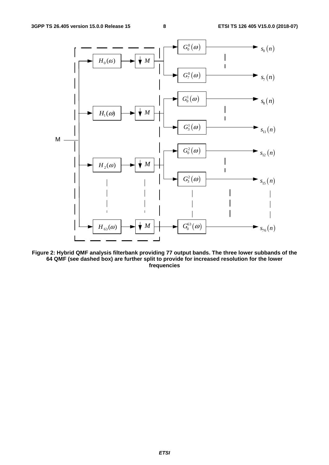

**Figure 2: Hybrid QMF analysis filterbank providing 77 output bands. The three lower subbands of the 64 QMF (see dashed box) are further split to provide for increased resolution for the lower frequencies**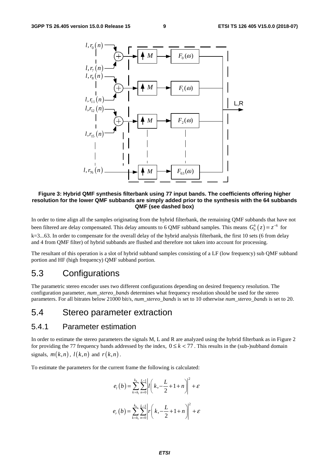

**Figure 3: Hybrid QMF synthesis filterbank using 77 input bands. The coefficients offering higher resolution for the lower QMF subbands are simply added prior to the synthesis with the 64 subbands QMF (see dashed box)** 

In order to time align all the samples originating from the hybrid filterbank, the remaining QMF subbands that have not been filtered are delay compensated. This delay amounts to 6 QMF subband samples. This means  $G_0^k(z) = z^{-6}$  for  $k=3...63$ . In order to compensate for the overall delay of the hybrid analysis filterbank, the first 10 sets (6 from delay and 4 from QMF filter) of hybrid subbands are flushed and therefore not taken into account for processing.

The resultant of this operation is a slot of hybrid subband samples consisting of a LF (low frequency) sub QMF subband portion and HF (high frequency) QMF subband portion.

### 5.3 Configurations

The parametric stereo encoder uses two different configurations depending on desired frequency resolution. The configuration parameter, *num\_stereo\_bands* determines what frequency resolution should be used for the stereo parameters. For all bitrates below 21000 bit/s, *num\_stereo\_bands* is set to 10 otherwise *num\_stereo\_bands* is set to 20.

### 5.4 Stereo parameter extraction

#### 5.4.1 Parameter estimation

In order to estimate the stereo parameters the signals M, L and R are analyzed using the hybrid filterbank as in Figure 2 for providing the 77 frequency bands addressed by the index,  $0 \le k < 77$ . This results in the (sub-)subband domain signals,  $m(k,n)$ ,  $l(k,n)$  and  $r(k,n)$ .

To estimate the parameters for the current frame the following is calculated:

$$
e_{l}(b) = \sum_{k=k_{l}}^{k_{h}} \sum_{n=0}^{L-1} \left| l\left(k, -\frac{L}{2} + 1 + n\right) \right|^{2} + \varepsilon
$$
  

$$
e_{r}(b) = \sum_{k=k_{l}}^{k_{h}} \sum_{n=0}^{L-1} \left| r\left(k, -\frac{L}{2} + 1 + n\right) \right|^{2} + \varepsilon
$$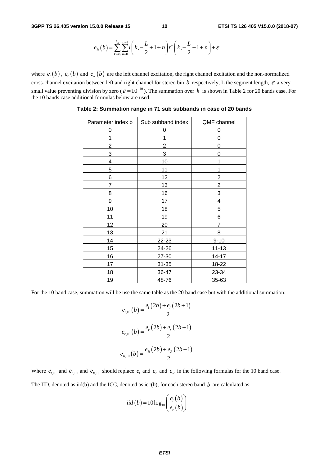$$
e_{R}(b) = \sum_{k=k_{1}}^{k_{h}} \sum_{n=0}^{L-1} l\left(k, -\frac{L}{2} + 1 + n\right) r^{*}\left(k, -\frac{L}{2} + 1 + n\right) + \varepsilon
$$

where  $e_i(b)$ ,  $e_r(b)$  and  $e_R(b)$  are the left channel excitation, the right channel excitation and the non-normalized cross-channel excitation between left and right channel for stereo bin  $b$  respectively, L the segment length,  $\varepsilon$  a very small value preventing division by zero ( $\varepsilon = 10^{-10}$ ). The summation over k is shown in Table 2 for 20 bands case. For the 10 bands case additional formulas below are used.

| Parameter index b | Sub subband index | QMF channel    |
|-------------------|-------------------|----------------|
| 0                 | 0                 | 0              |
| 1                 | 1                 | 0              |
| 2                 | 2                 | 0              |
| 3                 | $\overline{3}$    | 0              |
| 4                 | 10                | 1              |
| 5                 | 11                | 1              |
| 6                 | 12                | $\overline{c}$ |
| 7                 | 13                | $\mathbf{2}$   |
| 8                 | 16                | 3              |
| 9                 | 17                | 4              |
| 10                | 18                | 5              |
| 11                | 19                | 6              |
| 12                | 20                | 7              |
| 13                | 21                | 8              |
| 14                | $22 - 23$         | $9 - 10$       |
| 15                | $24 - 26$         | $11 - 13$      |
| 16                | $27 - 30$         | $14 - 17$      |
| 17                | $31 - 35$         | $18 - 22$      |
| 18                | 36-47             | 23-34          |
| 19                | 48-76             | 35-63          |

**Table 2: Summation range in 71 sub subbands in case of 20 bands** 

For the 10 band case, summation will be use the same table as the 20 band case but with the additional summation:

$$
e_{l,10}(b) = \frac{e_l(2b) + e_l(2b+1)}{2}
$$

$$
e_{r,10}(b) = \frac{e_r(2b) + e_r(2b+1)}{2}
$$

$$
e_{R,10}(b) = \frac{e_R(2b) + e_R(2b+1)}{2}
$$

Where  $e_{l,10}$  and  $e_{r,10}$  and  $e_{R,10}$  should replace  $e_l$  and  $e_r$  and  $e_R$  in the following formulas for the 10 band case. The IID, denoted as iid(b) and the ICC, denoted as icc(b), for each stereo band  $b$  are calculated as:

$$
iid(b) = 10 \log_{10} \left( \frac{e_i(b)}{e_r(b)} \right)
$$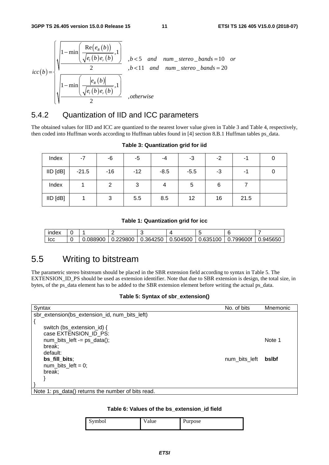$\lambda$ 

$$
icc(b) = \sqrt{\frac{1 - \min\left(\frac{\text{Re}(e_R(b))}{\sqrt{e_I(b)e_I(b)}, 1}\right)}{2}}, b < 5 \text{ and } num\_stereo\_bands = 10 \text{ or } b < 11 \text{ and } num\_stereo\_bands = 20
$$
  

$$
\sqrt{\frac{1 - \min\left(\frac{|e_R(b)|}{\sqrt{e_I(b)e_I(b)}, 1}\right)}}{2}}, otherwise
$$

### 5.4.2 Quantization of IID and ICC parameters

The obtained values for IID and ICC are quantized to the nearest lower value given in Table 3 and Table 4, respectively, then coded into Huffman words according to Huffman tables found in [4] section 8.B.1 Huffman tables ps\_data.

| Index        | $-7$    | -6    | -5    | -4     | -3     | $-2$ | -1   | 0 |
|--------------|---------|-------|-------|--------|--------|------|------|---|
| $IID$ $[dB]$ | $-21.5$ | $-16$ | $-12$ | $-8.5$ | $-5.5$ | -3   | -1   | 0 |
| Index        |         | 2     | 3     |        | 5      | 6    |      |   |
| $IID$ $[dB]$ |         | 3     | 5.5   | 8.5    | 12     | 16   | 21.5 |   |

#### **Table 3: Quantization grid for iid**

#### **Table 1: Quantization grid for icc**

| index |          |          |          |                          |          |           |         |
|-------|----------|----------|----------|--------------------------|----------|-----------|---------|
| Icc   | 0.088900 | 0.229800 | 0.364250 | $\vert$ 0.504500 $\vert$ | 0.635100 | 0.799600f | .945650 |

### 5.5 Writing to bitstream

The parametric stereo bitstream should be placed in the SBR extension field according to syntax in Table 5. The EXTENSION\_ID\_PS should be used as extension identifier. Note that due to SBR extension is design, the total size, in bytes, of the ps\_data element has to be added to the SBR extension element before writing the actual ps\_data.

#### **Table 5: Syntax of sbr\_extension()**

| Syntax                                             | No. of bits   | Mnemonic |
|----------------------------------------------------|---------------|----------|
| sbr_extension(bs_extension_id, num_bits_left)      |               |          |
|                                                    |               |          |
| switch (bs_extension_id) {                         |               |          |
| case EXTENSION_ID_PS:                              |               |          |
| $num\_bits\_left = ps\_data();$                    |               | Note 1   |
| break:                                             |               |          |
| default:                                           |               |          |
| bs_fill_bits;                                      | num bits left | bslbf    |
| num bits $left = 0$ ;                              |               |          |
| break;                                             |               |          |
|                                                    |               |          |
|                                                    |               |          |
| Note 1: ps_data() returns the number of bits read. |               |          |

#### **Table 6: Values of the bs\_extension\_id field**

| Symbol<br>້ | alue | ∽<br>Purpose |
|-------------|------|--------------|
|             |      |              |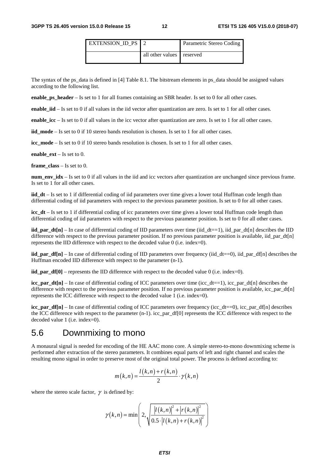| EXTENSION ID PS 1 2 |                           | Parametric Stereo Coding |
|---------------------|---------------------------|--------------------------|
|                     | all other values reserved |                          |

The syntax of the ps\_data is defined in [4] Table 8.1. The bitstream elements in ps\_data should be assigned values according to the following list.

**enable ps header** – Is set to 1 for all frames containing an SBR header. Is set to 0 for all other cases.

**enable\_iid** – Is set to 0 if all values in the iid vector after quantization are zero. Is set to 1 for all other cases.

**enable\_icc** – Is set to 0 if all values in the icc vector after quantization are zero. Is set to 1 for all other cases.

**iid\_mode** – Is set to 0 if 10 stereo bands resolution is chosen. Is set to 1 for all other cases.

**icc\_mode** – Is set to 0 if 10 stereo bands resolution is chosen. Is set to 1 for all other cases.

**enable\_ext** – Is set to 0.

**frame\_class** – Is set to 0.

**num\_env\_idx** – Is set to 0 if all values in the iid and icc vectors after quantization are unchanged since previous frame. Is set to 1 for all other cases.

**iid dt** – Is set to 1 if differential coding of iid parameters over time gives a lower total Huffman code length than differential coding of iid parameters with respect to the previous parameter position. Is set to 0 for all other cases.

**icc** dt – Is set to 1 if differential coding of icc parameters over time gives a lower total Huffman code length than differential coding of iid parameters with respect to the previous parameter position. Is set to 0 for all other cases.

**iid\_par\_dt[n]** – In case of differential coding of IID parameters over time (iid\_dt==1), iid\_par\_dt[n] describes the IID difference with respect to the previous parameter position. If no previous parameter position is available, iid\_par\_dt[n] represents the IID difference with respect to the decoded value 0 (i.e. index=0).

**iid** par df[n] – In case of differential coding of IID parameters over frequency (iid  $dt=0$ ), iid par df[n] describes the Huffman encoded IID difference with respect to the parameter (n-1).

**iid** par  $df[0]$  – represents the IID difference with respect to the decoded value 0 (i.e. index=0).

**icc\_par\_dt[n]** – In case of differential coding of ICC parameters over time (icc\_dt==1), icc\_par\_dt[n] describes the difference with respect to the previous parameter position. If no previous parameter position is available, icc\_par\_dt[n] represents the ICC difference with respect to the decoded value 1 (i.e. index=0).

**icc\_par\_df[n]** – In case of differential coding of ICC parameters over frequency (icc\_dt==0), icc\_par\_df[n] describes the ICC difference with respect to the parameter (n-1). icc\_par\_df[0] represents the ICC difference with respect to the decoded value 1 (i.e. index=0).

#### 5.6 Downmixing to mono

A monaural signal is needed for encoding of the HE AAC mono core. A simple stereo-to-mono downmixing scheme is performed after extraction of the stereo parameters. It combines equal parts of left and right channel and scales the resulting mono signal in order to preserve most of the original total power. The process is defined according to:

$$
m(k,n) = \frac{l(k,n) + r(k,n)}{2} \cdot \gamma(k,n)
$$

where the stereo scale factor,  $\gamma$  is defined by:

$$
\gamma(k,n) = \min \left( 2, \sqrt{\frac{|l(k,n)|^{2} + |r(k,n)|^{2}}{0.5 \cdot |l(k,n) + r(k,n)|^{2}}} \right)
$$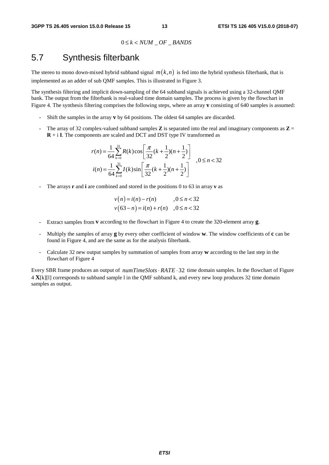$$
0 \le k < NUM \_ OF \_BANDS
$$

### 5.7 Synthesis filterbank

The stereo to mono down-mixed hybrid subband signal  $m(k, n)$  is fed into the hybrid synthesis filterbank, that is implemented as an adder of sub QMF samples. This is illustrated in Figure 3.

The synthesis filtering and implicit down-sampling of the 64 subband signals is achieved using a 32-channel QMF bank. The output from the filterbank is real-valued time domain samples. The process is given by the flowchart in Figure 4. The synthesis filtering comprises the following steps, where an array **v** consisting of 640 samples is assumed:

- Shift the samples in the array **v** by 64 positions. The oldest 64 samples are discarded.
- The array of 32 complex-valued subband samples  $\bf{Z}$  is separated into the real and imaginary components as  $\bf{Z}$  = **R** + i **I**. The components are scaled and DCT and DST type IV transformed as

$$
r(n) = \frac{1}{64} \sum_{k=0}^{31} R(k) \cos\left[\frac{\pi}{32} (k + \frac{1}{2}) (n + \frac{1}{2})\right] \quad , 0 \le n < 32
$$
  

$$
i(n) = \frac{1}{64} \sum_{k=0}^{31} I(k) \sin\left[\frac{\pi}{32} (k + \frac{1}{2}) (n + \frac{1}{2})\right] \quad , 0 \le n < 32
$$

The arrays **r** and **i** are combined and stored in the positions 0 to 63 in array **v** as

$$
v(n) = i(n) - r(n)
$$
,  $0 \le n < 32$   
\n $v(63-n) = i(n) + r(n)$ ,  $0 \le n < 32$ 

- Extract samples from **v** according to the flowchart in Figure 4 to create the 320-element array **g**.
- Multiply the samples of array **g** by every other coefficient of window **w**. The window coefficients of **c** can be found in Figure 4, and are the same as for the analysis filterbank.
- Calculate 32 new output samples by summation of samples from array **w** according to the last step in the flowchart of Figure 4

Every SBR frame produces an output of *numTimeSlots · RATE*  $\cdot$  32 time domain samples. In the flowchart of Figure 4 **X**[k][l] corresponds to subband sample l in the QMF subband k, and every new loop produces 32 time domain samples as output.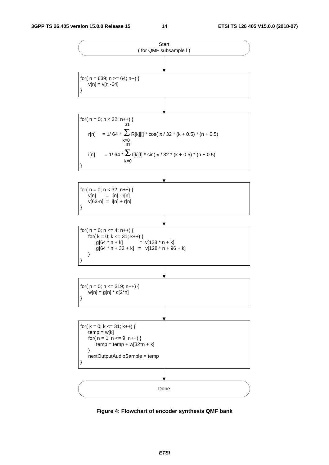

**Figure 4: Flowchart of encoder synthesis QMF bank**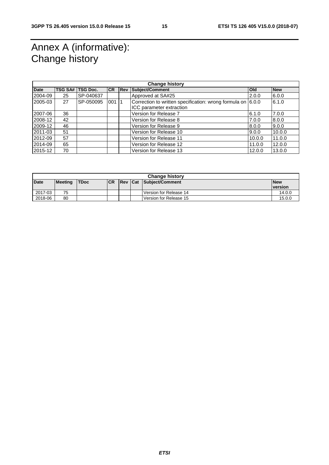# Annex A (informative): Change history

|             | <b>Change history</b> |                  |            |  |                                                             |            |            |  |
|-------------|-----------------------|------------------|------------|--|-------------------------------------------------------------|------------|------------|--|
| <b>Date</b> |                       | TSG SA# TSG Doc. | <b>ICR</b> |  | <b>Rev Subject/Comment</b>                                  | <b>Old</b> | <b>New</b> |  |
| 2004-09     | 25                    | SP-040637        |            |  | Approved at SA#25                                           | 2.0.0      | 6.0.0      |  |
| 2005-03     | 27                    | SP-050095        | 001        |  | Correction to written specification: wrong formula on 6.0.0 |            | 6.1.0      |  |
|             |                       |                  |            |  | ICC parameter extraction                                    |            |            |  |
| 2007-06     | 36                    |                  |            |  | Version for Release 7                                       | 6.1.0      | 7.0.0      |  |
| 2008-12     | 42                    |                  |            |  | Version for Release 8                                       | 7.0.0      | 8.0.0      |  |
| 2009-12     | 46                    |                  |            |  | Version for Release 9                                       | 8.0.0      | 9.0.0      |  |
| 2011-03     | 51                    |                  |            |  | Version for Release 10                                      | 9.0.0      | 10.0.0     |  |
| 2012-09     | 57                    |                  |            |  | Version for Release 11                                      | 10.0.0     | 11.0.0     |  |
| 2014-09     | 65                    |                  |            |  | Version for Release 12                                      | 11.0.0     | 12.0.0     |  |
| 2015-12     | 70                    |                  |            |  | Version for Release 13                                      | 12.0.0     | 13.0.0     |  |

|         | <b>Change history</b> |             |            |                |  |                        |                 |  |
|---------|-----------------------|-------------|------------|----------------|--|------------------------|-----------------|--|
| Date    | <b>Meeting</b>        | <b>TDoc</b> | <b>ICR</b> | <b>Rev Cat</b> |  | Subject/Comment        | <b>New</b>      |  |
|         |                       |             |            |                |  |                        | <b>Iversion</b> |  |
| 2017-03 | 75                    |             |            |                |  | Version for Release 14 | 14.0.0          |  |
| 2018-06 | 80                    |             |            |                |  | Version for Release 15 | 15.0.0          |  |